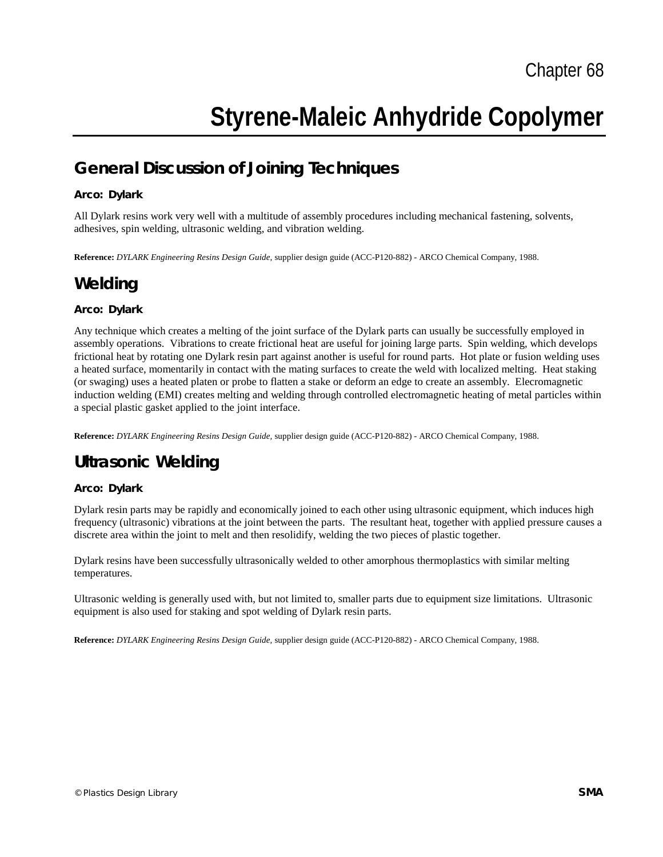# **Styrene-Maleic Anhydride Copolymer**

## **General Discussion of Joining Techniques**

### **Arco: Dylark**

All Dylark resins work very well with a multitude of assembly procedures including mechanical fastening, solvents, adhesives, spin welding, ultrasonic welding, and vibration welding.

**Reference:** *DYLARK Engineering Resins Design Guide,* supplier design guide (ACC-P120-882) - ARCO Chemical Company, 1988.

### **Welding**

### **Arco: Dylark**

Any technique which creates a melting of the joint surface of the Dylark parts can usually be successfully employed in assembly operations. Vibrations to create frictional heat are useful for joining large parts. Spin welding, which develops frictional heat by rotating one Dylark resin part against another is useful for round parts. Hot plate or fusion welding uses a heated surface, momentarily in contact with the mating surfaces to create the weld with localized melting. Heat staking (or swaging) uses a heated platen or probe to flatten a stake or deform an edge to create an assembly. Elecromagnetic induction welding (EMI) creates melting and welding through controlled electromagnetic heating of metal particles within a special plastic gasket applied to the joint interface.

**Reference:** *DYLARK Engineering Resins Design Guide,* supplier design guide (ACC-P120-882) - ARCO Chemical Company, 1988.

### **Ultrasonic Welding**

#### **Arco: Dylark**

Dylark resin parts may be rapidly and economically joined to each other using ultrasonic equipment, which induces high frequency (ultrasonic) vibrations at the joint between the parts. The resultant heat, together with applied pressure causes a discrete area within the joint to melt and then resolidify, welding the two pieces of plastic together.

Dylark resins have been successfully ultrasonically welded to other amorphous thermoplastics with similar melting temperatures.

Ultrasonic welding is generally used with, but not limited to, smaller parts due to equipment size limitations. Ultrasonic equipment is also used for staking and spot welding of Dylark resin parts.

**Reference:** *DYLARK Engineering Resins Design Guide,* supplier design guide (ACC-P120-882) - ARCO Chemical Company, 1988.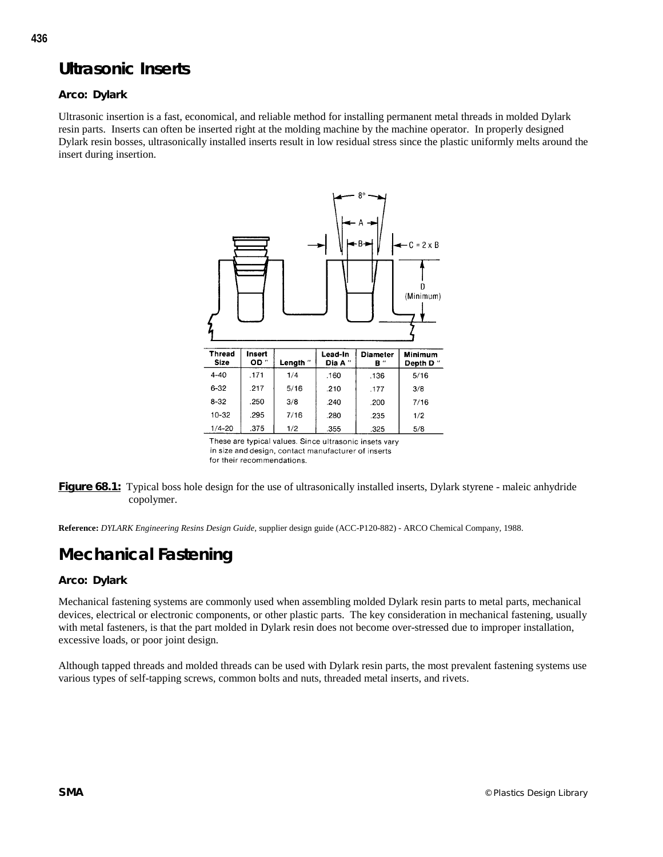### **Ultrasonic Inserts**

### **Arco: Dylark**

Ultrasonic insertion is a fast, economical, and reliable method for installing permanent metal threads in molded Dylark resin parts. Inserts can often be inserted right at the molding machine by the machine operator. In properly designed Dylark resin bosses, ultrasonically installed inserts result in low residual stress since the plastic uniformly melts around the insert during insertion.



These are typical values. Since ultrasonic insets vary in size and design, contact manufacturer of inserts for their recommendations.

**Figure 68.1:** Typical boss hole design for the use of ultrasonically installed inserts, Dylark styrene - maleic anhydride copolymer.

**Reference:** *DYLARK Engineering Resins Design Guide,* supplier design guide (ACC-P120-882) - ARCO Chemical Company, 1988.

# **Mechanical Fastening**

#### **Arco: Dylark**

Mechanical fastening systems are commonly used when assembling molded Dylark resin parts to metal parts, mechanical devices, electrical or electronic components, or other plastic parts. The key consideration in mechanical fastening, usually with metal fasteners, is that the part molded in Dylark resin does not become over-stressed due to improper installation, excessive loads, or poor joint design.

Although tapped threads and molded threads can be used with Dylark resin parts, the most prevalent fastening systems use various types of self-tapping screws, common bolts and nuts, threaded metal inserts, and rivets.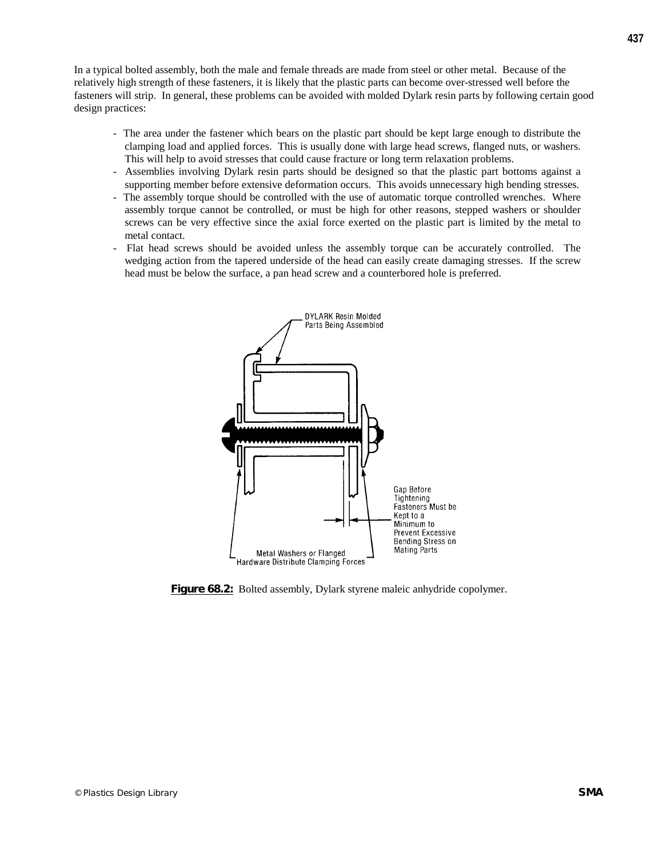In a typical bolted assembly, both the male and female threads are made from steel or other metal. Because of the relatively high strength of these fasteners, it is likely that the plastic parts can become over-stressed well before the fasteners will strip. In general, these problems can be avoided with molded Dylark resin parts by following certain good design practices:

- The area under the fastener which bears on the plastic part should be kept large enough to distribute the clamping load and applied forces. This is usually done with large head screws, flanged nuts, or washers. This will help to avoid stresses that could cause fracture or long term relaxation problems.
- Assemblies involving Dylark resin parts should be designed so that the plastic part bottoms against a supporting member before extensive deformation occurs. This avoids unnecessary high bending stresses.
- The assembly torque should be controlled with the use of automatic torque controlled wrenches. Where assembly torque cannot be controlled, or must be high for other reasons, stepped washers or shoulder screws can be very effective since the axial force exerted on the plastic part is limited by the metal to metal contact.
- Flat head screws should be avoided unless the assembly torque can be accurately controlled. The wedging action from the tapered underside of the head can easily create damaging stresses. If the screw head must be below the surface, a pan head screw and a counterbored hole is preferred.



**Figure 68.2:** Bolted assembly, Dylark styrene maleic anhydride copolymer.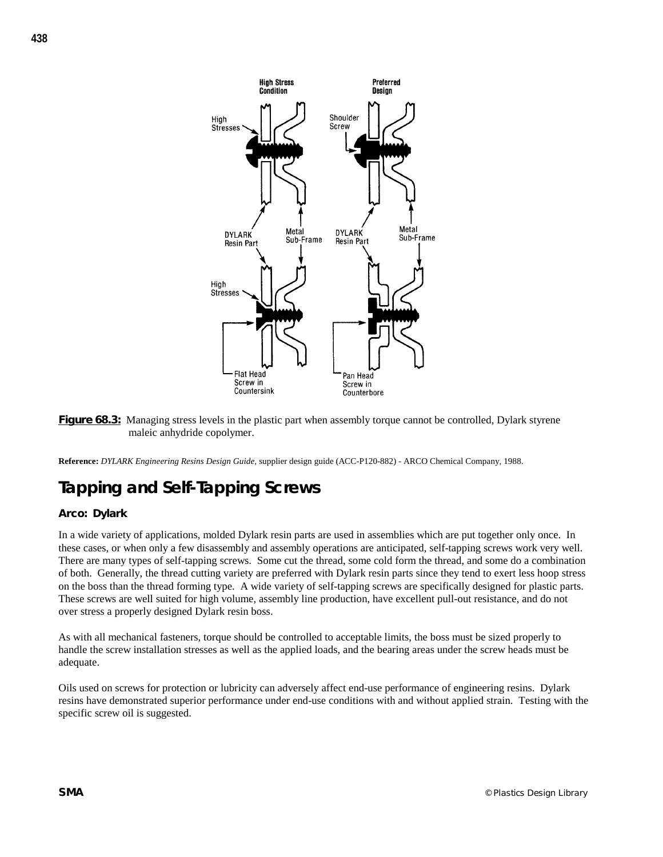

**Figure 68.3:** Managing stress levels in the plastic part when assembly torque cannot be controlled, Dylark styrene maleic anhydride copolymer.

**Reference:** *DYLARK Engineering Resins Design Guide,* supplier design guide (ACC-P120-882) - ARCO Chemical Company, 1988.

### **Tapping and Self-Tapping Screws**

#### **Arco: Dylark**

In a wide variety of applications, molded Dylark resin parts are used in assemblies which are put together only once. In these cases, or when only a few disassembly and assembly operations are anticipated, self-tapping screws work very well. There are many types of self-tapping screws. Some cut the thread, some cold form the thread, and some do a combination of both. Generally, the thread cutting variety are preferred with Dylark resin parts since they tend to exert less hoop stress on the boss than the thread forming type. A wide variety of self-tapping screws are specifically designed for plastic parts. These screws are well suited for high volume, assembly line production, have excellent pull-out resistance, and do not over stress a properly designed Dylark resin boss.

As with all mechanical fasteners, torque should be controlled to acceptable limits, the boss must be sized properly to handle the screw installation stresses as well as the applied loads, and the bearing areas under the screw heads must be adequate.

Oils used on screws for protection or lubricity can adversely affect end-use performance of engineering resins. Dylark resins have demonstrated superior performance under end-use conditions with and without applied strain. Testing with the specific screw oil is suggested.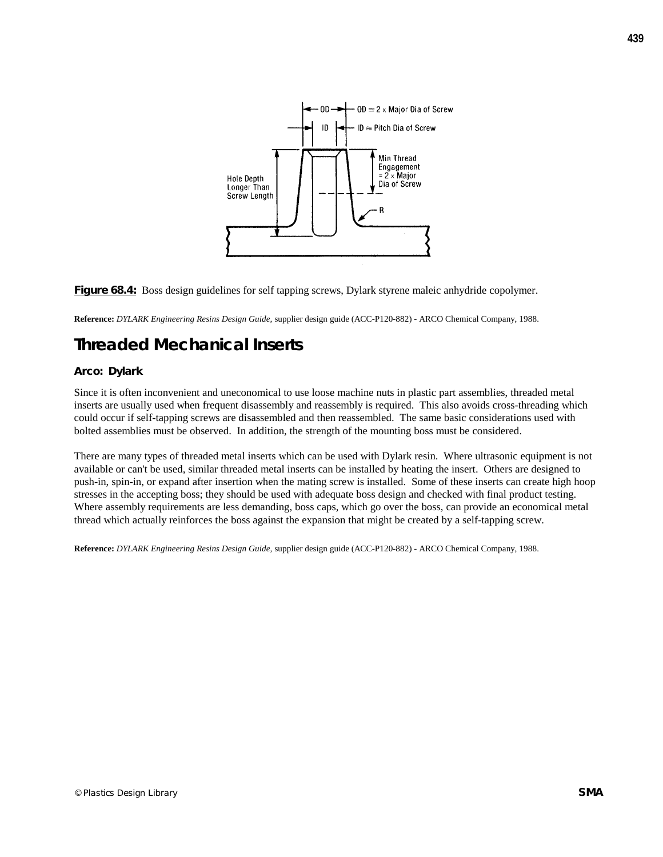

**Figure 68.4:** Boss design guidelines for self tapping screws, Dylark styrene maleic anhydride copolymer.

**Reference:** *DYLARK Engineering Resins Design Guide,* supplier design guide (ACC-P120-882) - ARCO Chemical Company, 1988.

### **Threaded Mechanical Inserts**

#### **Arco: Dylark**

Since it is often inconvenient and uneconomical to use loose machine nuts in plastic part assemblies, threaded metal inserts are usually used when frequent disassembly and reassembly is required. This also avoids cross-threading which could occur if self-tapping screws are disassembled and then reassembled. The same basic considerations used with bolted assemblies must be observed. In addition, the strength of the mounting boss must be considered.

There are many types of threaded metal inserts which can be used with Dylark resin. Where ultrasonic equipment is not available or can't be used, similar threaded metal inserts can be installed by heating the insert. Others are designed to push-in, spin-in, or expand after insertion when the mating screw is installed. Some of these inserts can create high hoop stresses in the accepting boss; they should be used with adequate boss design and checked with final product testing. Where assembly requirements are less demanding, boss caps, which go over the boss, can provide an economical metal thread which actually reinforces the boss against the expansion that might be created by a self-tapping screw.

**Reference:** *DYLARK Engineering Resins Design Guide,* supplier design guide (ACC-P120-882) - ARCO Chemical Company, 1988.